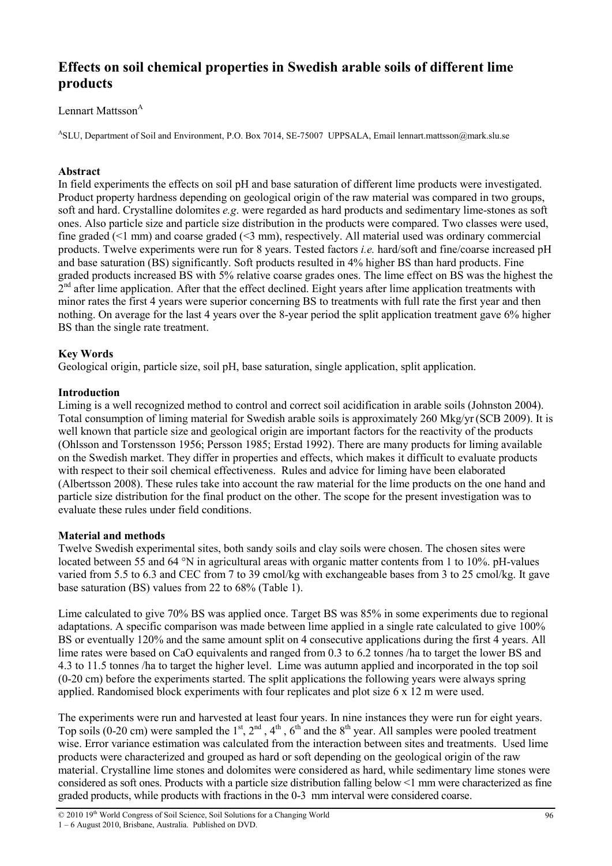# **Effects on soil chemical properties in Swedish arable soils of different lime products**

# Lennart Mattsson<sup>A</sup>

ASLU, Department of Soil and Environment, P.O. Box 7014, SE-75007 UPPSALA, Email lennart.mattsson@mark.slu.se

# **Abstract**

In field experiments the effects on soil pH and base saturation of different lime products were investigated. Product property hardness depending on geological origin of the raw material was compared in two groups, soft and hard. Crystalline dolomites *e.g*. were regarded as hard products and sedimentary lime-stones as soft ones. Also particle size and particle size distribution in the products were compared. Two classes were used, fine graded  $(\leq 1 \text{ mm})$  and coarse graded  $(\leq 3 \text{ mm})$ , respectively. All material used was ordinary commercial products. Twelve experiments were run for 8 years. Tested factors *i.e.* hard/soft and fine/coarse increased pH and base saturation (BS) significantly. Soft products resulted in 4% higher BS than hard products. Fine graded products increased BS with 5% relative coarse grades ones. The lime effect on BS was the highest the 2<sup>nd</sup> after lime application. After that the effect declined. Eight years after lime application treatments with minor rates the first 4 years were superior concerning BS to treatments with full rate the first year and then nothing. On average for the last 4 years over the 8-year period the split application treatment gave 6% higher BS than the single rate treatment.

# **Key Words**

Geological origin, particle size, soil pH, base saturation, single application, split application.

#### **Introduction**

Liming is a well recognized method to control and correct soil acidification in arable soils (Johnston 2004). Total consumption of liming material for Swedish arable soils is approximately 260 Mkg/yr(SCB 2009). It is well known that particle size and geological origin are important factors for the reactivity of the products (Ohlsson and Torstensson 1956; Persson 1985; Erstad 1992). There are many products for liming available on the Swedish market. They differ in properties and effects, which makes it difficult to evaluate products with respect to their soil chemical effectiveness. Rules and advice for liming have been elaborated (Albertsson 2008). These rules take into account the raw material for the lime products on the one hand and particle size distribution for the final product on the other. The scope for the present investigation was to evaluate these rules under field conditions.

# **Material and methods**

Twelve Swedish experimental sites, both sandy soils and clay soils were chosen. The chosen sites were located between 55 and 64 °N in agricultural areas with organic matter contents from 1 to 10%. pH-values varied from 5.5 to 6.3 and CEC from 7 to 39 cmol/kg with exchangeable bases from 3 to 25 cmol/kg. It gave base saturation (BS) values from 22 to 68% (Table 1).

Lime calculated to give 70% BS was applied once. Target BS was 85% in some experiments due to regional adaptations. A specific comparison was made between lime applied in a single rate calculated to give 100% BS or eventually 120% and the same amount split on 4 consecutive applications during the first 4 years. All lime rates were based on CaO equivalents and ranged from 0.3 to 6.2 tonnes /ha to target the lower BS and 4.3 to 11.5 tonnes /ha to target the higher level. Lime was autumn applied and incorporated in the top soil (0-20 cm) before the experiments started. The split applications the following years were always spring applied. Randomised block experiments with four replicates and plot size 6 x 12 m were used.

The experiments were run and harvested at least four years. In nine instances they were run for eight years. Top soils (0-20 cm) were sampled the  $1^{st}$ ,  $2^{nd}$ ,  $4^{th}$ ,  $6^{th}$  and the  $8^{th}$  year. All samples were pooled treatment wise. Error variance estimation was calculated from the interaction between sites and treatments. Used lime products were characterized and grouped as hard or soft depending on the geological origin of the raw material. Crystalline lime stones and dolomites were considered as hard, while sedimentary lime stones were considered as soft ones. Products with a particle size distribution falling below <1 mm were characterized as fine graded products, while products with fractions in the 0-3 mm interval were considered coarse.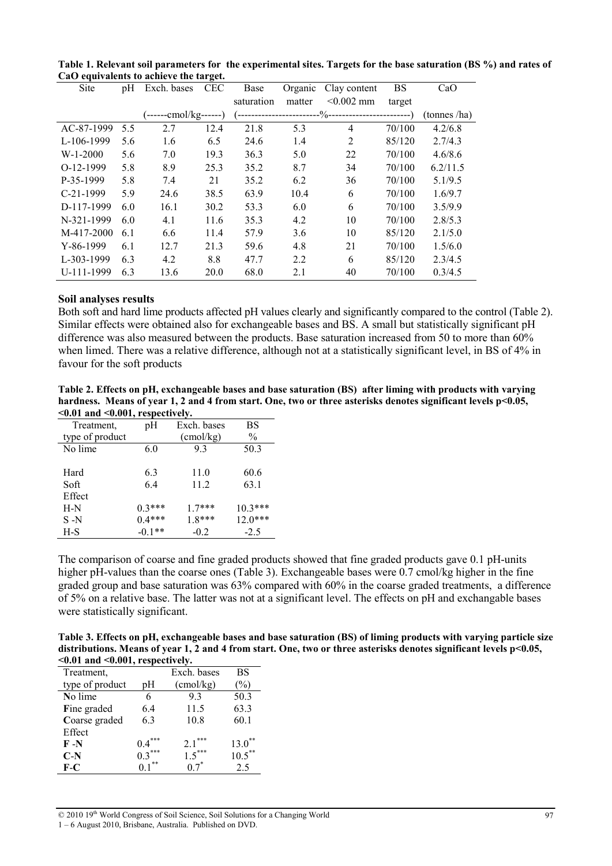| Site        | pH  | Exch. bases           | $\overline{\phantom{a}}$<br><b>CEC</b> | Base                       | Organic | Clay content   | <b>BS</b> | CaO          |
|-------------|-----|-----------------------|----------------------------------------|----------------------------|---------|----------------|-----------|--------------|
|             |     |                       |                                        | saturation                 | matter  | $< 0.002$ mm   | target    |              |
|             |     | (------cmol/kg------) |                                        | --%--------------<br>$- -$ |         |                |           | (tonnes /ha) |
| AC-87-1999  | 5.5 | 2.7                   | 12.4                                   | 21.8                       | 5.3     | 4              | 70/100    | 4.2/6.8      |
| L-106-1999  | 5.6 | 1.6                   | 6.5                                    | 24.6                       | 1.4     | $\overline{2}$ | 85/120    | 2.7/4.3      |
| $W-1-2000$  | 5.6 | 7.0                   | 19.3                                   | 36.3                       | 5.0     | 22             | 70/100    | 4.6/8.6      |
| $O-12-1999$ | 5.8 | 8.9                   | 25.3                                   | 35.2                       | 8.7     | 34             | 70/100    | 6.2/11.5     |
| P-35-1999   | 5.8 | 7.4                   | 21                                     | 35.2                       | 6.2     | 36             | 70/100    | 5.1/9.5      |
| $C-21-1999$ | 5.9 | 24.6                  | 38.5                                   | 63.9                       | 10.4    | 6              | 70/100    | 1.6/9.7      |
| D-117-1999  | 6.0 | 16.1                  | 30.2                                   | 53.3                       | 6.0     | 6              | 70/100    | 3.5/9.9      |
| N-321-1999  | 6.0 | 4.1                   | 11.6                                   | 35.3                       | 4.2     | 10             | 70/100    | 2.8/5.3      |
| M-417-2000  | 6.1 | 6.6                   | 11.4                                   | 57.9                       | 3.6     | 10             | 85/120    | 2.1/5.0      |
| $Y-86-1999$ | 6.1 | 12.7                  | 21.3                                   | 59.6                       | 4.8     | 21             | 70/100    | 1.5/6.0      |
| L-303-1999  | 6.3 | 4.2                   | 8.8                                    | 47.7                       | 2.2     | 6              | 85/120    | 2.3/4.5      |
| U-111-1999  | 6.3 | 13.6                  | 20.0                                   | 68.0                       | 2.1     | 40             | 70/100    | 0.3/4.5      |

**Table 1. Relevant soil parameters for the experimental sites. Targets for the base saturation (BS %) and rates of CaO equivalents to achieve the target.** 

#### **Soil analyses results**

Both soft and hard lime products affected pH values clearly and significantly compared to the control (Table 2). Similar effects were obtained also for exchangeable bases and BS. A small but statistically significant pH difference was also measured between the products. Base saturation increased from 50 to more than 60% when limed. There was a relative difference, although not at a statistically significant level, in BS of 4% in favour for the soft products

**Table 2. Effects on pH, exchangeable bases and base saturation (BS) after liming with products with varying**  hardness. Means of year 1, 2 and 4 from start. One, two or three asterisks denotes significant levels p<0.05, **<0.01 and <0.001, respectively.** 

| Treatment.      | pH       | Exch. bases        | BS            |
|-----------------|----------|--------------------|---------------|
| type of product |          | $\text{(cmol/kg)}$ | $\frac{0}{0}$ |
| No lime         | 6.0      | 93                 | 50.3          |
|                 |          |                    |               |
| Hard            | 6.3      | 11.0               | 60.6          |
| Soft            | 6.4      | 11.2               | 63.1          |
| Effect          |          |                    |               |
| $H-N$           | $0.3***$ | $1.7***$           | $10.3***$     |
| $S-N$           | $0.4***$ | $1.8***$           | $12.0***$     |
| H-S             | $-0.1**$ | $-0.2$             | $-2.5$        |

The comparison of coarse and fine graded products showed that fine graded products gave 0.1 pH-units higher pH-values than the coarse ones (Table 3). Exchangeable bases were 0.7 cmol/kg higher in the fine graded group and base saturation was 63% compared with 60% in the coarse graded treatments, a difference of 5% on a relative base. The latter was not at a significant level. The effects on pH and exchangable bases were statistically significant.

**Table 3. Effects on pH, exchangeable bases and base saturation (BS) of liming products with varying particle size**  distributions. Means of year 1, 2 and 4 from start. One, two or three asterisks denotes significant levels p<0.05, **<0.01 and <0.001, respectively.** 

| Treatment,      |            | Exch. bases        | BS            |
|-----------------|------------|--------------------|---------------|
| type of product | pН         | $\text{(cmol/kg)}$ | $\frac{0}{0}$ |
| No lime         | 6          | 93                 | 50.3          |
| Fine graded     | 6.4        | 11.5               | 63.3          |
| Coarse graded   | 6.3        | 10.8               | 60.1          |
| Effect          |            |                    |               |
| $F-N$           | ***<br>0.4 | $2.1***$           | $13.0^*$      |
| $C-N$           | $0.3***$   | $1.5***$           | $10.5***$     |
| F-C             | **         |                    | 25            |